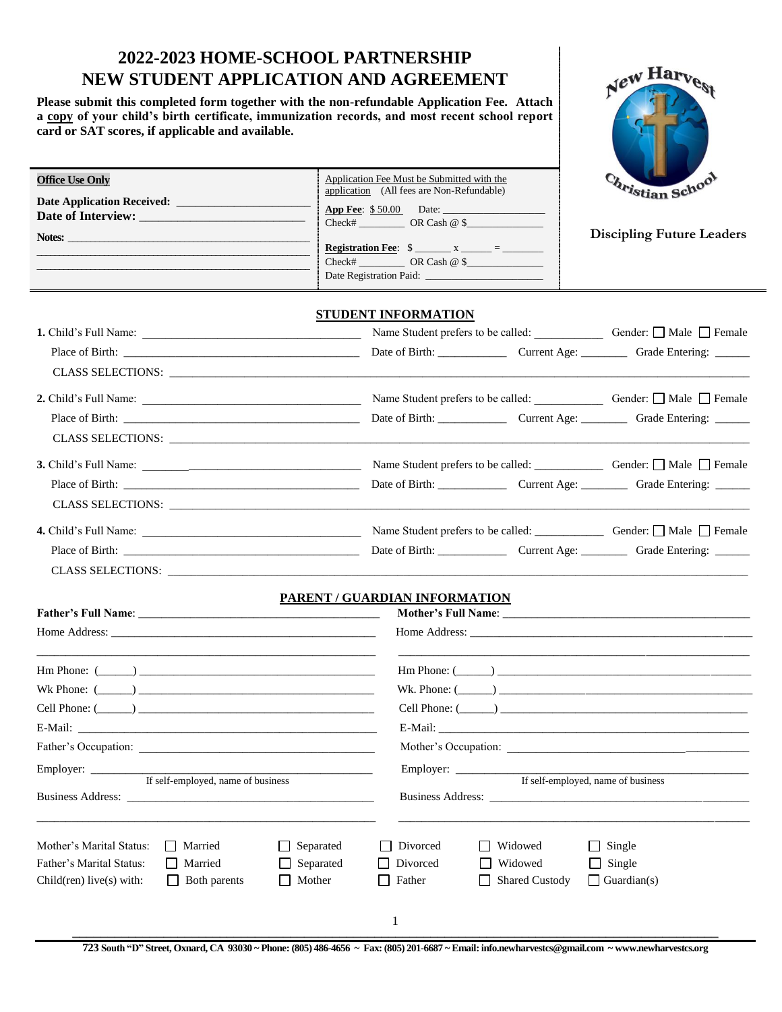# **2022-2023 HOME-SCHOOL PARTNERSHIP NEW STUDENT APPLICATION AND AGREEMENT**

**Please submit this completed form together with the non-refundable Application Fee. Attach a copy of your child's birth certificate, immunization records, and most recent school report card or SAT scores, if applicable and available.** 

**Office Use Only**



| Date Application Received:<br>Date of Interview: | application (All fees are Non-Refundable)<br><b>App Fee:</b> \$50.00 Date:<br>$Check \#$ OR Cash $@ \$<br>Registration Fee: $\frac{1}{2}$ x _____ = _______<br>$Check \#$ OR Cash $@ \$ | <i><b>Pistian Scho</b></i><br><b>Discipling Future Leaders</b> |
|--------------------------------------------------|-----------------------------------------------------------------------------------------------------------------------------------------------------------------------------------------|----------------------------------------------------------------|
| <b>1.</b> Child's Full Name:                     | <b>STUDENT INFORMATION</b><br>Name Student prefers to be called:                                                                                                                        | Gender: $\Box$ Male $\Box$ Female                              |

Application Fee Must be Submitted with the

|                          |  | Name Student prefers to be called: Gender: □ Male □ Female |
|--------------------------|--|------------------------------------------------------------|
|                          |  |                                                            |
|                          |  |                                                            |
|                          |  |                                                            |
|                          |  |                                                            |
|                          |  |                                                            |
|                          |  |                                                            |
|                          |  |                                                            |
| <b>CLASS SELECTIONS:</b> |  |                                                            |

#### **PARENT / GUARDIAN INFORMATION**

| <b>Father's Full Name:</b> The Contract of the Contract of the Contract of the Contract of the Contract of the Contract of the Contract of the Contract of the Contract of the Contract of the Contract of the Contract of the Cont |                                    |                                      |              |                    |                                  | Mother's Full Name: Lawrence and the state of the state of the state of the state of the state of the state of the state of the state of the state of the state of the state of the state of the state of the state of the sta |
|-------------------------------------------------------------------------------------------------------------------------------------------------------------------------------------------------------------------------------------|------------------------------------|--------------------------------------|--------------|--------------------|----------------------------------|--------------------------------------------------------------------------------------------------------------------------------------------------------------------------------------------------------------------------------|
|                                                                                                                                                                                                                                     |                                    |                                      |              |                    |                                  |                                                                                                                                                                                                                                |
| $\text{Hm Phone: } (\_\_)$                                                                                                                                                                                                          |                                    |                                      |              |                    |                                  | $\text{Hm Phone: } (\_\_)$<br>Wk. Phone: $(\_\_)$                                                                                                                                                                              |
|                                                                                                                                                                                                                                     |                                    |                                      |              |                    |                                  |                                                                                                                                                                                                                                |
|                                                                                                                                                                                                                                     |                                    |                                      |              |                    |                                  |                                                                                                                                                                                                                                |
|                                                                                                                                                                                                                                     |                                    |                                      |              |                    |                                  |                                                                                                                                                                                                                                |
|                                                                                                                                                                                                                                     | If self-employed, name of business |                                      |              |                    |                                  | If self-employed, name of business                                                                                                                                                                                             |
|                                                                                                                                                                                                                                     |                                    |                                      |              |                    |                                  |                                                                                                                                                                                                                                |
| Mother's Marital Status:                                                                                                                                                                                                            | Married<br>$\perp$                 | Separated                            |              | Divorced           | Widowed                          | Single<br>$\mathsf{L}$                                                                                                                                                                                                         |
| Father's Marital Status:<br>Child(ren) live(s) with:                                                                                                                                                                                | Married<br><b>Both parents</b>     | $\Box$ Separated<br>Mother<br>$\Box$ | $\mathsf{L}$ | Divorced<br>Father | Widowed<br><b>Shared Custody</b> | $\Box$ Single<br>$\Box$ Guardian(s)                                                                                                                                                                                            |
|                                                                                                                                                                                                                                     |                                    |                                      |              |                    |                                  |                                                                                                                                                                                                                                |
|                                                                                                                                                                                                                                     |                                    |                                      |              |                    |                                  |                                                                                                                                                                                                                                |

**723 South "D" Street, Oxnard, CA 93030 ~ Phone: (805) 486-4656 ~ Fax: (805) 201-6687 ~ Email: info.newharvestcs@gmail.com ~ www.newharvestcs.org**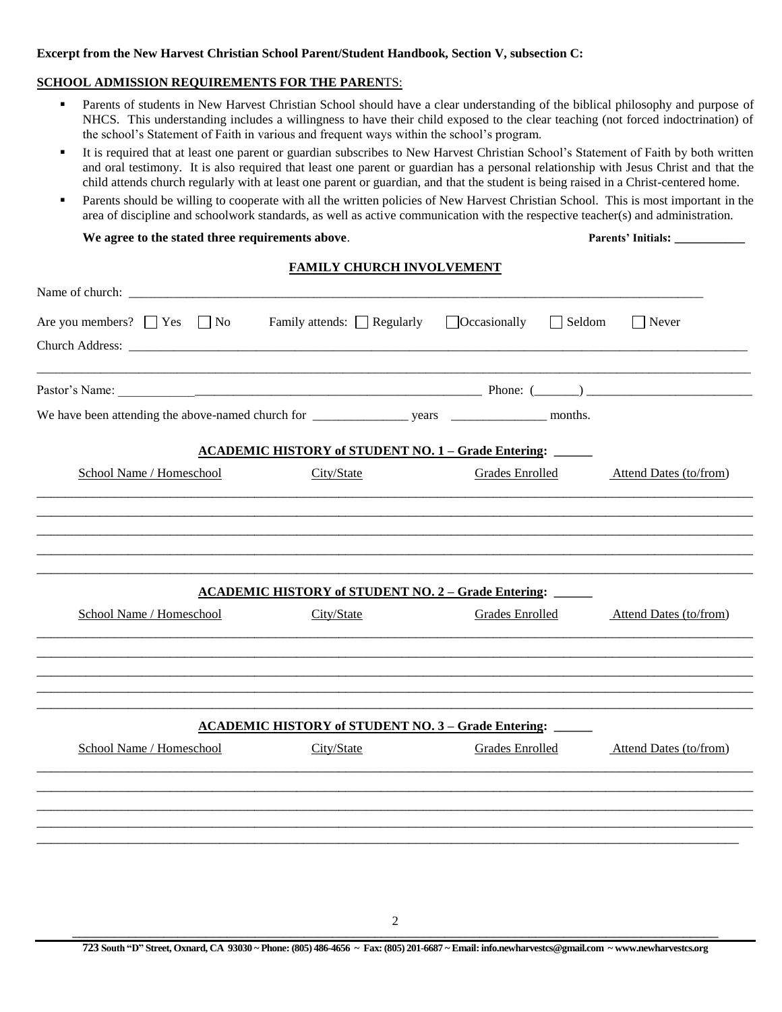### **Excerpt from the New Harvest Christian School Parent/Student Handbook, Section V, subsection C:**

## **SCHOOL ADMISSION REQUIREMENTS FOR THE PAREN**TS:

- **Parents of students in New Harvest Christian School should have a clear understanding of the biblical philosophy and purpose of** NHCS. This understanding includes a willingness to have their child exposed to the clear teaching (not forced indoctrination) of the school's Statement of Faith in various and frequent ways within the school's program.
- It is required that at least one parent or guardian subscribes to New Harvest Christian School's Statement of Faith by both written and oral testimony. It is also required that least one parent or guardian has a personal relationship with Jesus Christ and that the child attends church regularly with at least one parent or guardian, and that the student is being raised in a Christ-centered home.
- **Parents should be willing to cooperate with all the written policies of New Harvest Christian School.** This is most important in the area of discipline and schoolwork standards, as well as active communication with the respective teacher(s) and administration.

#### **We agree to the stated three requirements above**. **Parents' Initials: \_\_\_\_\_\_\_\_\_\_\_**

## **FAMILY CHURCH INVOLVEMENT**

| Are you members? $\Box$ Yes $\Box$ No<br>$\Box$ Occasionally<br>$\Box$ Seldom<br>Family attends: $\Box$ Regularly<br>$\Box$ Never<br><b>ACADEMIC HISTORY of STUDENT NO. 1 - Grade Entering:</b><br>School Name / Homeschool<br>City/State<br><b>Grades Enrolled</b><br><b>ACADEMIC HISTORY of STUDENT NO. 2 - Grade Entering:</b><br>School Name / Homeschool<br>City/State<br><b>Grades Enrolled</b><br><b>ACADEMIC HISTORY of STUDENT NO. 3 - Grade Entering:</b><br>School Name / Homeschool<br>City/State<br>Grades Enrolled |  |                        |
|----------------------------------------------------------------------------------------------------------------------------------------------------------------------------------------------------------------------------------------------------------------------------------------------------------------------------------------------------------------------------------------------------------------------------------------------------------------------------------------------------------------------------------|--|------------------------|
|                                                                                                                                                                                                                                                                                                                                                                                                                                                                                                                                  |  |                        |
|                                                                                                                                                                                                                                                                                                                                                                                                                                                                                                                                  |  |                        |
|                                                                                                                                                                                                                                                                                                                                                                                                                                                                                                                                  |  |                        |
|                                                                                                                                                                                                                                                                                                                                                                                                                                                                                                                                  |  |                        |
|                                                                                                                                                                                                                                                                                                                                                                                                                                                                                                                                  |  | Attend Dates (to/from) |
|                                                                                                                                                                                                                                                                                                                                                                                                                                                                                                                                  |  |                        |
|                                                                                                                                                                                                                                                                                                                                                                                                                                                                                                                                  |  |                        |
|                                                                                                                                                                                                                                                                                                                                                                                                                                                                                                                                  |  |                        |
|                                                                                                                                                                                                                                                                                                                                                                                                                                                                                                                                  |  | Attend Dates (to/from) |
|                                                                                                                                                                                                                                                                                                                                                                                                                                                                                                                                  |  |                        |
|                                                                                                                                                                                                                                                                                                                                                                                                                                                                                                                                  |  |                        |
|                                                                                                                                                                                                                                                                                                                                                                                                                                                                                                                                  |  |                        |
|                                                                                                                                                                                                                                                                                                                                                                                                                                                                                                                                  |  | Attend Dates (to/from) |
|                                                                                                                                                                                                                                                                                                                                                                                                                                                                                                                                  |  |                        |
|                                                                                                                                                                                                                                                                                                                                                                                                                                                                                                                                  |  |                        |
|                                                                                                                                                                                                                                                                                                                                                                                                                                                                                                                                  |  |                        |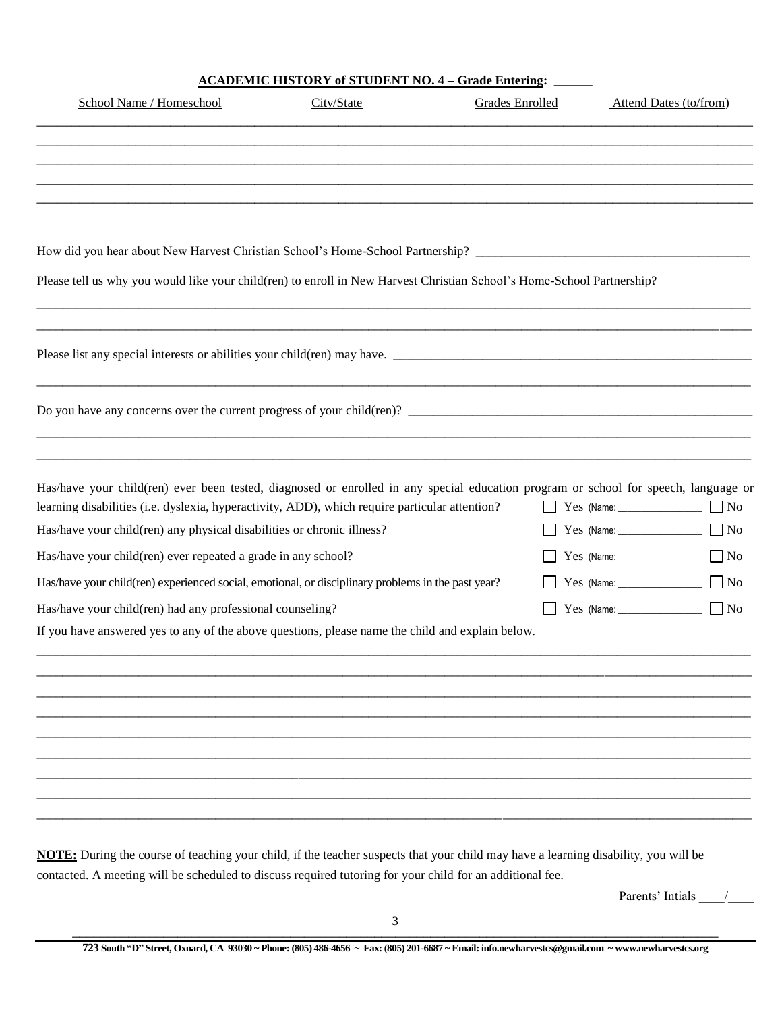| <b>ACADEMIC HISTORY of STUDENT NO. 4 – Grade Entering:</b> |  |  |
|------------------------------------------------------------|--|--|
|                                                            |  |  |

| School Name / Homeschool                                               | City/State                                                                                                                                                                                                                            | Grades Enrolled | Attend Dates (to/from) |
|------------------------------------------------------------------------|---------------------------------------------------------------------------------------------------------------------------------------------------------------------------------------------------------------------------------------|-----------------|------------------------|
|                                                                        |                                                                                                                                                                                                                                       |                 |                        |
|                                                                        |                                                                                                                                                                                                                                       |                 |                        |
|                                                                        |                                                                                                                                                                                                                                       |                 |                        |
|                                                                        |                                                                                                                                                                                                                                       |                 |                        |
|                                                                        | Please tell us why you would like your child(ren) to enroll in New Harvest Christian School's Home-School Partnership?                                                                                                                |                 |                        |
|                                                                        | Please list any special interests or abilities your child(ren) may have.                                                                                                                                                              |                 |                        |
|                                                                        |                                                                                                                                                                                                                                       |                 |                        |
|                                                                        | Has/have your child(ren) ever been tested, diagnosed or enrolled in any special education program or school for speech, language or<br>learning disabilities (i.e. dyslexia, hyperactivity, ADD), which require particular attention? |                 |                        |
| Has/have your child(ren) any physical disabilities or chronic illness? |                                                                                                                                                                                                                                       |                 |                        |
| Has/have your child(ren) ever repeated a grade in any school?          |                                                                                                                                                                                                                                       |                 |                        |
|                                                                        | Has/have your child(ren) experienced social, emotional, or disciplinary problems in the past year?                                                                                                                                    |                 | $\Box$ No              |
| Has/have your child(ren) had any professional counseling?              |                                                                                                                                                                                                                                       |                 |                        |
|                                                                        | If you have answered yes to any of the above questions, please name the child and explain below.                                                                                                                                      |                 |                        |
|                                                                        |                                                                                                                                                                                                                                       |                 |                        |
|                                                                        |                                                                                                                                                                                                                                       |                 |                        |
|                                                                        |                                                                                                                                                                                                                                       |                 |                        |
|                                                                        |                                                                                                                                                                                                                                       |                 |                        |
|                                                                        |                                                                                                                                                                                                                                       |                 |                        |
|                                                                        |                                                                                                                                                                                                                                       |                 |                        |

Parents' Intials \_\_\_\_/\_\_\_\_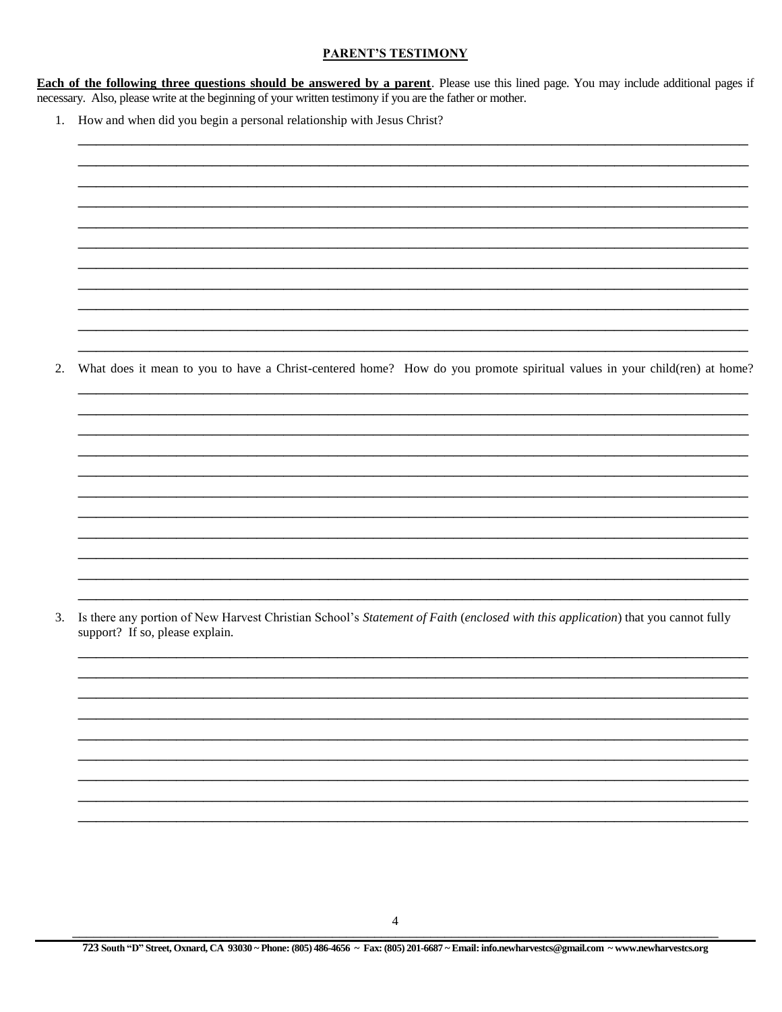### **PARENT'S TESTIMONY**

**Each of the following three questions should be answered by a parent**. Please use this lined page. You may include additional pages if necessary. Also, please write at the beginning of your written testimony if you are the father or mother.

1. How and when did you begin a personal relationship with Jesus Christ?

What does it mean to you to have a Christ-centered home? How do you promote spiritual values in your child(ren) at home? 2.

3. Is there any portion of New Harvest Christian School's Statement of Faith (enclosed with this application) that you cannot fully support? If so, please explain.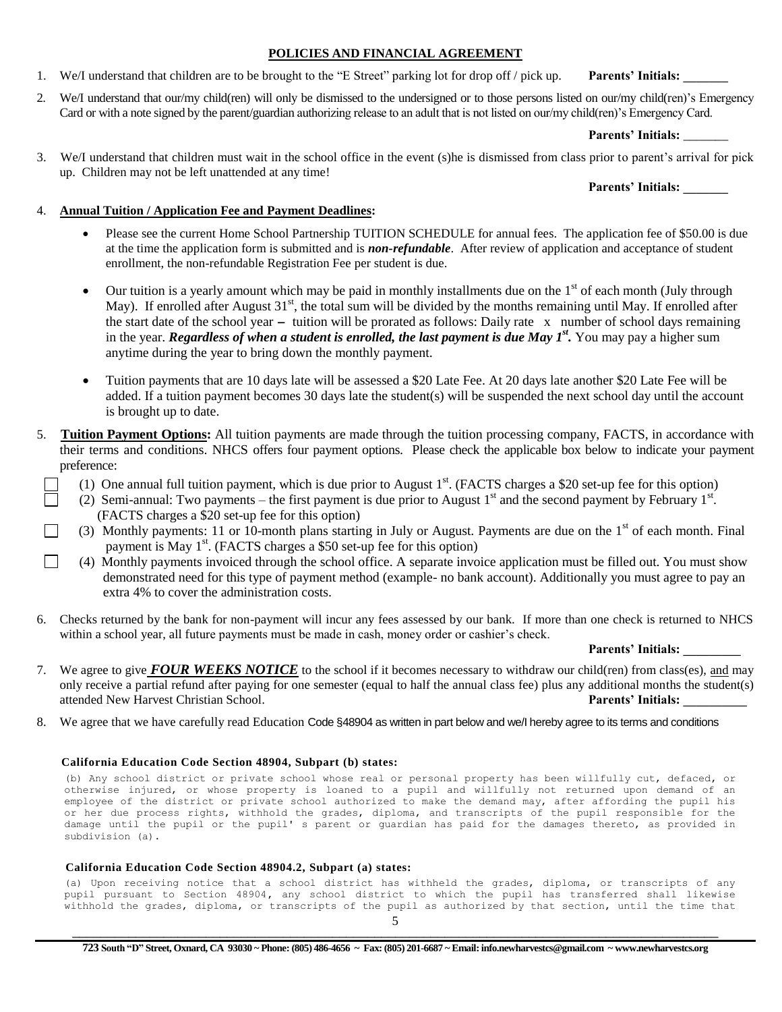### **POLICIES AND FINANCIAL AGREEMENT**

1. We/I understand that children are to be brought to the "E Street" parking lot for drop off / pick up. **Parents' Initials:** 

2. We/I understand that our/my child(ren) will only be dismissed to the undersigned or to those persons listed on our/my child(ren)'s Emergency Card or with a note signed by the parent/guardian authorizing release to an adult that is not listed on our/my child(ren)'s Emergency Card.

## **Parents' Initials:** \_\_\_\_\_\_\_

3. We/I understand that children must wait in the school office in the event (s)he is dismissed from class prior to parent's arrival for pick up. Children may not be left unattended at any time!

## **Parents' Initials: \_\_\_\_\_\_\_**

## 4. **Annual Tuition / Application Fee and Payment Deadlines:**

- Please see the current Home School Partnership TUITION SCHEDULE for annual fees. The application fee of \$50.00 is due at the time the application form is submitted and is *non-refundable*. After review of application and acceptance of student enrollment, the non-refundable Registration Fee per student is due.
- Our tuition is a yearly amount which may be paid in monthly installments due on the  $1<sup>st</sup>$  of each month (July through May). If enrolled after August  $31<sup>st</sup>$ , the total sum will be divided by the months remaining until May. If enrolled after the start date of the school year **-** tuition will be prorated as follows: Daily rate x number of school days remaining in the year. *Regardless of when a student is enrolled, the last payment is due May 1<sup>st</sup>. You may pay a higher sum* anytime during the year to bring down the monthly payment.
- Tuition payments that are 10 days late will be assessed a \$20 Late Fee. At 20 days late another \$20 Late Fee will be added. If a tuition payment becomes 30 days late the student(s) will be suspended the next school day until the account is brought up to date.
- 5. **Tuition Payment Options:** All tuition payments are made through the tuition processing company, FACTS, in accordance with their terms and conditions. NHCS offers four payment options. Please check the applicable box below to indicate your payment preference:
- $\Box$  (1) One annual full tuition payment, which is due prior to August 1<sup>st</sup>. (FACTS charges a \$20 set-up fee for this option)
- $\Box$  (2) Semi-annual: Two payments the first payment is due prior to August 1<sup>st</sup> and the second payment by February 1<sup>st</sup>. (FACTS charges a \$20 set-up fee for this option)
- (3) Monthly payments: 11 or 10-month plans starting in July or August. Payments are due on the  $1<sup>st</sup>$  of each month. Final payment is May 1<sup>st</sup>. (FACTS charges a \$50 set-up fee for this option)
- $\Box$  (4) Monthly payments invoiced through the school office. A separate invoice application must be filled out. You must show demonstrated need for this type of payment method (example- no bank account). Additionally you must agree to pay an extra 4% to cover the administration costs.
- 6. Checks returned by the bank for non-payment will incur any fees assessed by our bank. If more than one check is returned to NHCS within a school year, all future payments must be made in cash, money order or cashier's check.

#### **Parents' Initials: \_\_\_\_\_\_\_\_\_**

- 7. We agree to give *FOUR WEEKS NOTICE* to the school if it becomes necessary to withdraw our child(ren) from class(es), and may only receive a partial refund after paying for one semester (equal to half the annual class fee) plus any additional months the student(s) attended New Harvest Christian School. **Parents' Initials: \_\_\_\_\_\_\_\_\_\_**
- 8. We agree that we have carefully read Education Code §48904 as written in part below and we/I hereby agree to its terms and conditions

#### **California Education Code Section 48904, Subpart (b) states:**

(b) Any school district or private school whose real or personal property has been willfully cut, defaced, or otherwise injured, or whose property is loaned to a pupil and willfully not returned upon demand of an employee of the district or private school authorized to make the demand may, after affording the pupil his or her due process rights, withhold the grades, diploma, and transcripts of the pupil responsible for the damage until the pupil or the pupil' s parent or guardian has paid for the damages thereto, as provided in subdivision (a).

#### **California Education Code Section 48904.2, Subpart (a) states:**

(a) Upon receiving notice that a school district has withheld the grades, diploma, or transcripts of any pupil pursuant to Section 48904**,** any school district to which the pupil has transferred shall likewise withhold the grades, diploma, or transcripts of the pupil as authorized by that section, until the time that